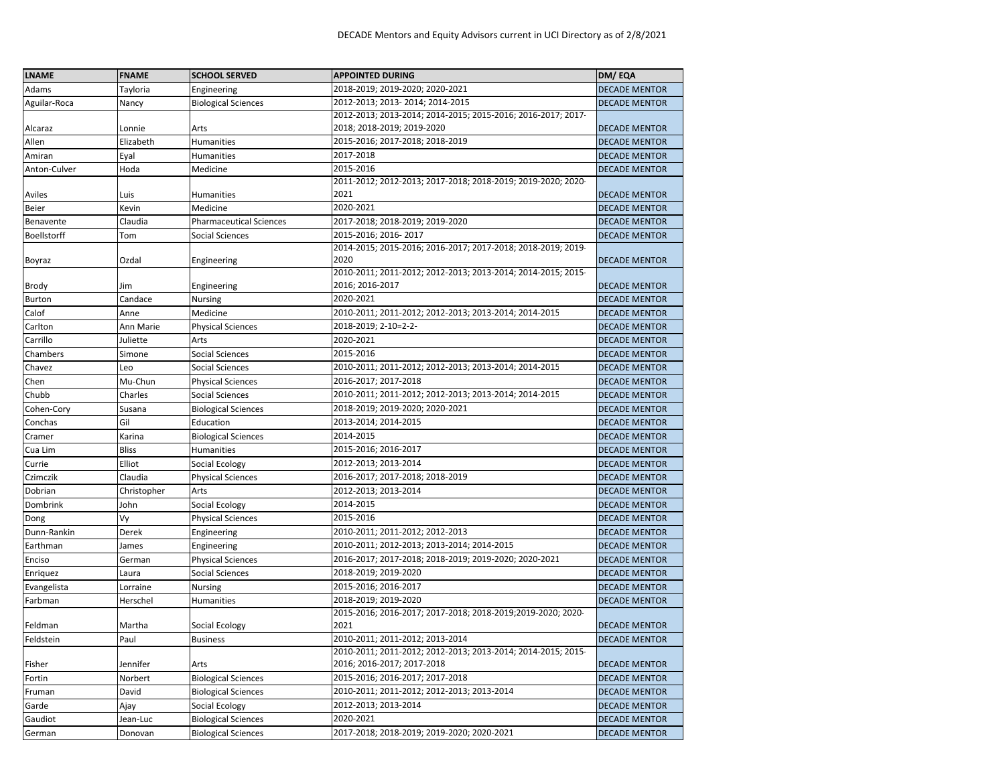| <b>LNAME</b> | <b>FNAME</b> | <b>SCHOOL SERVED</b>           | <b>APPOINTED DURING</b>                                      | DM/EQA               |
|--------------|--------------|--------------------------------|--------------------------------------------------------------|----------------------|
| Adams        | Tayloria     | Engineering                    | 2018-2019; 2019-2020; 2020-2021                              | <b>DECADE MENTOR</b> |
| Aguilar-Roca | Nancy        | <b>Biological Sciences</b>     | 2012-2013; 2013-2014; 2014-2015                              | <b>DECADE MENTOR</b> |
|              |              |                                | 2012-2013; 2013-2014; 2014-2015; 2015-2016; 2016-2017; 2017- |                      |
| Alcaraz      | Lonnie       | Arts                           | 2018; 2018-2019; 2019-2020                                   | <b>DECADE MENTOR</b> |
| Allen        | Elizabeth    | Humanities                     | 2015-2016; 2017-2018; 2018-2019                              | <b>DECADE MENTOR</b> |
| Amiran       | Eyal         | Humanities                     | 2017-2018                                                    | <b>DECADE MENTOR</b> |
| Anton-Culver | Hoda         | Medicine                       | 2015-2016                                                    | <b>DECADE MENTOR</b> |
|              |              |                                | 2011-2012; 2012-2013; 2017-2018; 2018-2019; 2019-2020; 2020- |                      |
| Aviles       | Luis         | Humanities                     | 2021                                                         | <b>DECADE MENTOR</b> |
| Beier        | Kevin        | Medicine                       | 2020-2021                                                    | <b>DECADE MENTOR</b> |
| Benavente    | Claudia      | <b>Pharmaceutical Sciences</b> | 2017-2018; 2018-2019; 2019-2020                              | <b>DECADE MENTOR</b> |
| Boellstorff  | Tom          | Social Sciences                | 2015-2016; 2016-2017                                         | <b>DECADE MENTOR</b> |
|              |              |                                | 2014-2015; 2015-2016; 2016-2017; 2017-2018; 2018-2019; 2019- |                      |
| Boyraz       | Ozdal        | Engineering                    | 2020                                                         | <b>DECADE MENTOR</b> |
|              |              |                                | 2010-2011; 2011-2012; 2012-2013; 2013-2014; 2014-2015; 2015- |                      |
| Brody        | Jim          | Engineering                    | 2016; 2016-2017                                              | <b>DECADE MENTOR</b> |
| Burton       | Candace      | Nursing                        | 2020-2021                                                    | <b>DECADE MENTOR</b> |
| Calof        | Anne         | Medicine                       | 2010-2011; 2011-2012; 2012-2013; 2013-2014; 2014-2015        | <b>DECADE MENTOR</b> |
| Carlton      | Ann Marie    | <b>Physical Sciences</b>       | 2018-2019; 2-10=2-2-                                         | <b>DECADE MENTOR</b> |
| Carrillo     | Juliette     | Arts                           | 2020-2021                                                    | <b>DECADE MENTOR</b> |
| Chambers     | Simone       | Social Sciences                | 2015-2016                                                    | <b>DECADE MENTOR</b> |
| Chavez       | Leo          | <b>Social Sciences</b>         | 2010-2011; 2011-2012; 2012-2013; 2013-2014; 2014-2015        | <b>DECADE MENTOR</b> |
| Chen         | Mu-Chun      | <b>Physical Sciences</b>       | 2016-2017; 2017-2018                                         | <b>DECADE MENTOR</b> |
| Chubb        | Charles      | Social Sciences                | 2010-2011; 2011-2012; 2012-2013; 2013-2014; 2014-2015        | <b>DECADE MENTOR</b> |
| Cohen-Cory   | Susana       | <b>Biological Sciences</b>     | 2018-2019; 2019-2020; 2020-2021                              | <b>DECADE MENTOR</b> |
| Conchas      | Gil          | Education                      | 2013-2014; 2014-2015                                         | <b>DECADE MENTOR</b> |
| Cramer       | Karina       | <b>Biological Sciences</b>     | 2014-2015                                                    | <b>DECADE MENTOR</b> |
| Cua Lim      | <b>Bliss</b> | Humanities                     | 2015-2016; 2016-2017                                         | <b>DECADE MENTOR</b> |
| Currie       | Elliot       | Social Ecology                 | 2012-2013; 2013-2014                                         | <b>DECADE MENTOR</b> |
| Czimczik     | Claudia      | <b>Physical Sciences</b>       | 2016-2017; 2017-2018; 2018-2019                              | <b>DECADE MENTOR</b> |
| Dobrian      | Christopher  | Arts                           | 2012-2013; 2013-2014                                         | <b>DECADE MENTOR</b> |
| Dombrink     | John         | Social Ecology                 | 2014-2015                                                    | <b>DECADE MENTOR</b> |
| Dong         | Vy           | <b>Physical Sciences</b>       | 2015-2016                                                    | <b>DECADE MENTOR</b> |
| Dunn-Rankin  | Derek        | Engineering                    | 2010-2011; 2011-2012; 2012-2013                              | <b>DECADE MENTOR</b> |
| Earthman     | James        | Engineering                    | 2010-2011; 2012-2013; 2013-2014; 2014-2015                   | <b>DECADE MENTOR</b> |
| Enciso       | German       | <b>Physical Sciences</b>       | 2016-2017; 2017-2018; 2018-2019; 2019-2020; 2020-2021        | <b>DECADE MENTOR</b> |
| Enriguez     | Laura        | Social Sciences                | 2018-2019; 2019-2020                                         | <b>DECADE MENTOR</b> |
| Evangelista  | Lorraine     | Nursing                        | 2015-2016; 2016-2017                                         | <b>DECADE MENTOR</b> |
| Farbman      | Herschel     | <b>Humanities</b>              | 2018-2019; 2019-2020                                         | <b>DECADE MENTOR</b> |
|              |              |                                | 2015-2016; 2016-2017; 2017-2018; 2018-2019;2019-2020; 2020-  |                      |
| Feldman      | Martha       | Social Ecology                 | 2021                                                         | <b>DECADE MENTOR</b> |
| Feldstein    | Paul         | <b>Business</b>                | 2010-2011; 2011-2012; 2013-2014                              | <b>DECADE MENTOR</b> |
|              |              |                                | 2010-2011; 2011-2012; 2012-2013; 2013-2014; 2014-2015; 2015- |                      |
| Fisher       | Jennifer     | Arts                           | 2016; 2016-2017; 2017-2018                                   | <b>DECADE MENTOR</b> |
| Fortin       | Norbert      | <b>Biological Sciences</b>     | 2015-2016; 2016-2017; 2017-2018                              | <b>DECADE MENTOR</b> |
| Fruman       | David        | <b>Biological Sciences</b>     | 2010-2011; 2011-2012; 2012-2013; 2013-2014                   | <b>DECADE MENTOR</b> |
| Garde        | Ajay         | Social Ecology                 | 2012-2013; 2013-2014                                         | <b>DECADE MENTOR</b> |
| Gaudiot      | Jean-Luc     | <b>Biological Sciences</b>     | 2020-2021                                                    | <b>DECADE MENTOR</b> |
| German       | Donovan      | <b>Biological Sciences</b>     | 2017-2018; 2018-2019; 2019-2020; 2020-2021                   | <b>DECADE MENTOR</b> |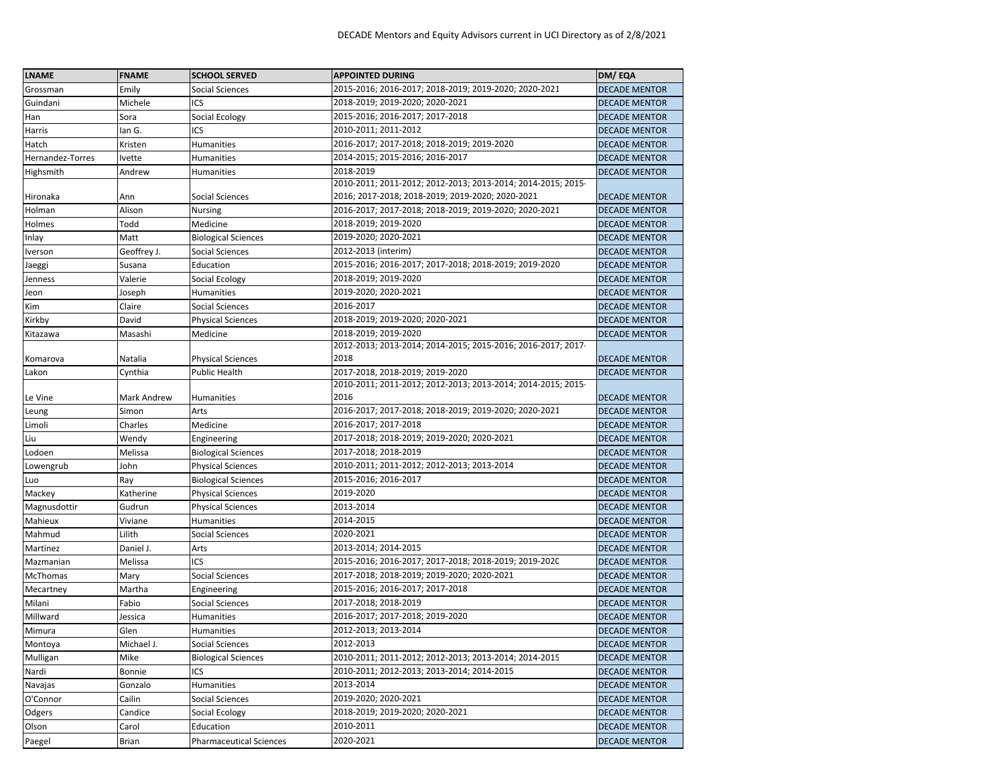| <b>LNAME</b>     | <b>FNAME</b> | <b>SCHOOL SERVED</b>           | <b>APPOINTED DURING</b>                                              | DM/EQA               |
|------------------|--------------|--------------------------------|----------------------------------------------------------------------|----------------------|
| Grossman         | Emily        | <b>Social Sciences</b>         | 2015-2016; 2016-2017; 2018-2019; 2019-2020; 2020-2021                | <b>DECADE MENTOR</b> |
| Guindani         | Michele      | ICS                            | 2018-2019; 2019-2020; 2020-2021                                      | <b>DECADE MENTOR</b> |
| Han              | Sora         | Social Ecology                 | 2015-2016; 2016-2017; 2017-2018                                      | <b>DECADE MENTOR</b> |
| Harris           | lan G.       | ICS                            | 2010-2011; 2011-2012                                                 | <b>DECADE MENTOR</b> |
| Hatch            | Kristen      | <b>Humanities</b>              | 2016-2017; 2017-2018; 2018-2019; 2019-2020                           | <b>DECADE MENTOR</b> |
| Hernandez-Torres | Ivette       | Humanities                     | 2014-2015; 2015-2016; 2016-2017                                      | <b>DECADE MENTOR</b> |
| Highsmith        | Andrew       | Humanities                     | 2018-2019                                                            | <b>DECADE MENTOR</b> |
|                  |              |                                | 2010-2011; 2011-2012; 2012-2013; 2013-2014; 2014-2015; 2015-         |                      |
| Hironaka         | Ann          | Social Sciences                | 2016; 2017-2018; 2018-2019; 2019-2020; 2020-2021                     | <b>DECADE MENTOR</b> |
| Holman           | Alison       | Nursing                        | 2016-2017; 2017-2018; 2018-2019; 2019-2020; 2020-2021                | <b>DECADE MENTOR</b> |
| Holmes           | Todd         | Medicine                       | 2018-2019; 2019-2020                                                 | <b>DECADE MENTOR</b> |
| Inlay            | Matt         | <b>Biological Sciences</b>     | 2019-2020; 2020-2021                                                 | <b>DECADE MENTOR</b> |
| Iverson          | Geoffrey J.  | Social Sciences                | 2012-2013 (interim)                                                  | <b>DECADE MENTOR</b> |
| Jaeggi           | Susana       | Education                      | 2015-2016; 2016-2017; 2017-2018; 2018-2019; 2019-2020                | <b>DECADE MENTOR</b> |
| Jenness          | Valerie      | Social Ecology                 | 2018-2019; 2019-2020                                                 | <b>DECADE MENTOR</b> |
| Jeon             | Joseph       | Humanities                     | 2019-2020; 2020-2021                                                 | <b>DECADE MENTOR</b> |
| Kim              | Claire       | Social Sciences                | 2016-2017                                                            | <b>DECADE MENTOR</b> |
| Kirkby           | David        | <b>Physical Sciences</b>       | 2018-2019; 2019-2020; 2020-2021                                      | <b>DECADE MENTOR</b> |
| Kitazawa         | Masashi      | Medicine                       | 2018-2019; 2019-2020                                                 | <b>DECADE MENTOR</b> |
|                  |              |                                | 2012-2013; 2013-2014; 2014-2015; 2015-2016; 2016-2017; 2017-         |                      |
| Komarova         | Natalia      | <b>Physical Sciences</b>       | 2018                                                                 | <b>DECADE MENTOR</b> |
| Lakon            | Cynthia      | Public Health                  | 2017-2018, 2018-2019; 2019-2020                                      | <b>DECADE MENTOR</b> |
| Le Vine          | Mark Andrew  | Humanities                     | 2010-2011; 2011-2012; 2012-2013; 2013-2014; 2014-2015; 2015-<br>2016 | <b>DECADE MENTOR</b> |
|                  | Simon        | Arts                           | 2016-2017; 2017-2018; 2018-2019; 2019-2020; 2020-2021                | <b>DECADE MENTOR</b> |
| Leung<br>Limoli  | Charles      | Medicine                       | 2016-2017; 2017-2018                                                 | <b>DECADE MENTOR</b> |
| Liu              | Wendy        | Engineering                    | 2017-2018; 2018-2019; 2019-2020; 2020-2021                           | <b>DECADE MENTOR</b> |
| Lodoen           | Melissa      | <b>Biological Sciences</b>     | 2017-2018; 2018-2019                                                 | <b>DECADE MENTOR</b> |
| Lowengrub        | John         | <b>Physical Sciences</b>       | 2010-2011; 2011-2012; 2012-2013; 2013-2014                           | <b>DECADE MENTOR</b> |
| Luo              | Ray          | <b>Biological Sciences</b>     | 2015-2016; 2016-2017                                                 | <b>DECADE MENTOR</b> |
| Mackey           | Katherine    | <b>Physical Sciences</b>       | 2019-2020                                                            | <b>DECADE MENTOR</b> |
| Magnusdottir     | Gudrun       | <b>Physical Sciences</b>       | 2013-2014                                                            | <b>DECADE MENTOR</b> |
| Mahieux          | Viviane      | <b>Humanities</b>              | 2014-2015                                                            | <b>DECADE MENTOR</b> |
| Mahmud           | Lilith       | Social Sciences                | 2020-2021                                                            | <b>DECADE MENTOR</b> |
| Martinez         | Daniel J.    | Arts                           | 2013-2014; 2014-2015                                                 | <b>DECADE MENTOR</b> |
| Mazmanian        | Melissa      | ICS                            | 2015-2016; 2016-2017; 2017-2018; 2018-2019; 2019-2020                | <b>DECADE MENTOR</b> |
| <b>McThomas</b>  | Mary         | Social Sciences                | 2017-2018; 2018-2019; 2019-2020; 2020-2021                           | <b>DECADE MENTOR</b> |
| Mecartney        | Martha       | Engineering                    | 2015-2016; 2016-2017; 2017-2018                                      | <b>DECADE MENTOR</b> |
| Milani           | Fabio        | Social Sciences                | 2017-2018; 2018-2019                                                 | <b>DECADE MENTOR</b> |
| Millward         | Jessica      | Humanities                     | 2016-2017; 2017-2018; 2019-2020                                      | <b>DECADE MENTOR</b> |
| Mimura           | Glen         | <b>Humanities</b>              | 2012-2013; 2013-2014                                                 | <b>DECADE MENTOR</b> |
| Montoya          | Michael J.   | Social Sciences                | 2012-2013                                                            | <b>DECADE MENTOR</b> |
| Mulligan         | Mike         | <b>Biological Sciences</b>     | 2010-2011; 2011-2012; 2012-2013; 2013-2014; 2014-2015                | <b>DECADE MENTOR</b> |
| Nardi            | Bonnie       | ICS                            | 2010-2011; 2012-2013; 2013-2014; 2014-2015                           | <b>DECADE MENTOR</b> |
| Navajas          | Gonzalo      | Humanities                     | 2013-2014                                                            | <b>DECADE MENTOR</b> |
| O'Connor         | Cailin       | Social Sciences                | 2019-2020; 2020-2021                                                 | <b>DECADE MENTOR</b> |
| Odgers           | Candice      | Social Ecology                 | 2018-2019; 2019-2020; 2020-2021                                      | <b>DECADE MENTOR</b> |
| Olson            | Carol        | Education                      | 2010-2011                                                            | <b>DECADE MENTOR</b> |
| Paegel           | Brian        | <b>Pharmaceutical Sciences</b> | 2020-2021                                                            | <b>DECADE MENTOR</b> |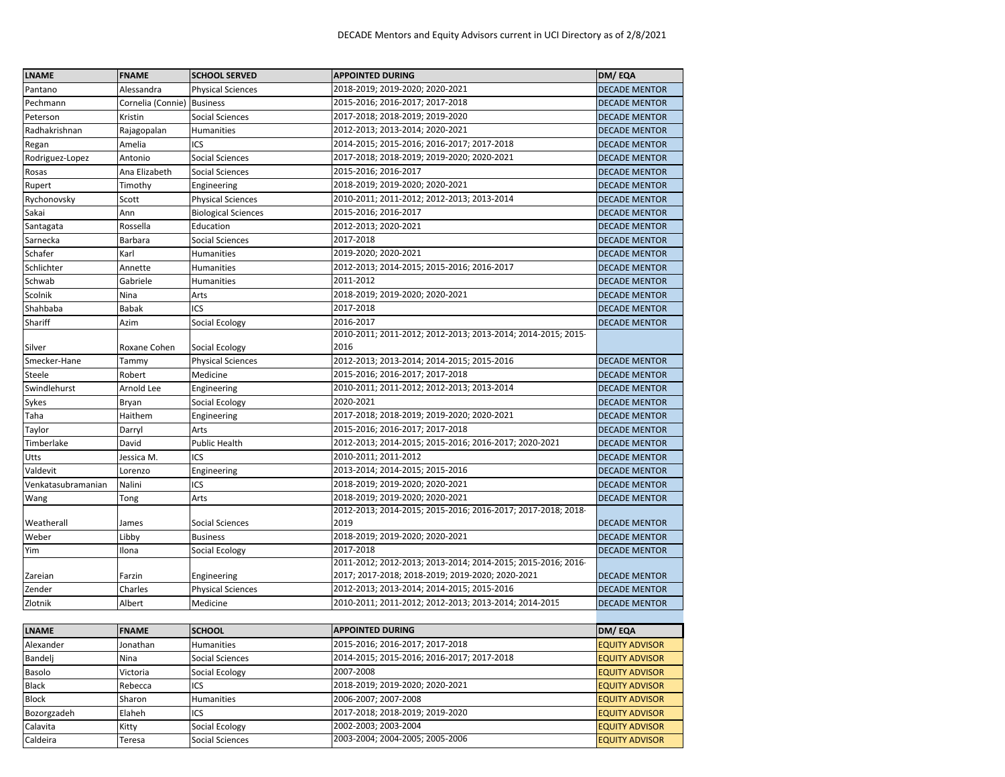| <b>LNAME</b>       | <b>FNAME</b>      | <b>SCHOOL SERVED</b>       | <b>APPOINTED DURING</b>                                      | DM/EQA                |
|--------------------|-------------------|----------------------------|--------------------------------------------------------------|-----------------------|
| Pantano            | Alessandra        | <b>Physical Sciences</b>   | 2018-2019; 2019-2020; 2020-2021                              | <b>DECADE MENTOR</b>  |
| Pechmann           | Cornelia (Connie) | <b>Business</b>            | 2015-2016; 2016-2017; 2017-2018                              | <b>DECADE MENTOR</b>  |
| Peterson           | Kristin           | Social Sciences            | 2017-2018; 2018-2019; 2019-2020                              | <b>DECADE MENTOR</b>  |
| Radhakrishnan      | Rajagopalan       | Humanities                 | 2012-2013; 2013-2014; 2020-2021                              | <b>DECADE MENTOR</b>  |
| Regan              | Amelia            | ICS                        | 2014-2015; 2015-2016; 2016-2017; 2017-2018                   | <b>DECADE MENTOR</b>  |
| Rodriguez-Lopez    | Antonio           | Social Sciences            | 2017-2018; 2018-2019; 2019-2020; 2020-2021                   | <b>DECADE MENTOR</b>  |
| Rosas              | Ana Elizabeth     | Social Sciences            | 2015-2016; 2016-2017                                         | <b>DECADE MENTOR</b>  |
| Rupert             | Timothy           | Engineering                | 2018-2019; 2019-2020; 2020-2021                              | <b>DECADE MENTOR</b>  |
| Rychonovsky        | Scott             | <b>Physical Sciences</b>   | 2010-2011; 2011-2012; 2012-2013; 2013-2014                   | <b>DECADE MENTOR</b>  |
| Sakai              | Ann               | <b>Biological Sciences</b> | 2015-2016; 2016-2017                                         | <b>DECADE MENTOR</b>  |
| Santagata          | Rossella          | Education                  | 2012-2013; 2020-2021                                         | <b>DECADE MENTOR</b>  |
| Sarnecka           | Barbara           | Social Sciences            | 2017-2018                                                    | <b>DECADE MENTOR</b>  |
| Schafer            | Karl              | <b>Humanities</b>          | 2019-2020; 2020-2021                                         | <b>DECADE MENTOR</b>  |
| Schlichter         | Annette           | Humanities                 | 2012-2013; 2014-2015; 2015-2016; 2016-2017                   | <b>DECADE MENTOR</b>  |
| Schwab             | Gabriele          | Humanities                 | 2011-2012                                                    | <b>DECADE MENTOR</b>  |
| Scolnik            | Nina              | Arts                       | 2018-2019; 2019-2020; 2020-2021                              | <b>DECADE MENTOR</b>  |
| Shahbaba           | <b>Babak</b>      | ICS                        | 2017-2018                                                    | <b>DECADE MENTOR</b>  |
| Shariff            | Azim              | Social Ecology             | 2016-2017                                                    | <b>DECADE MENTOR</b>  |
|                    |                   |                            | 2010-2011; 2011-2012; 2012-2013; 2013-2014; 2014-2015; 2015- |                       |
| Silver             | Roxane Cohen      | Social Ecology             | 2016                                                         |                       |
| Smecker-Hane       | Tammy             | <b>Physical Sciences</b>   | 2012-2013; 2013-2014; 2014-2015; 2015-2016                   | <b>DECADE MENTOR</b>  |
| Steele             | Robert            | Medicine                   | 2015-2016; 2016-2017; 2017-2018                              | <b>DECADE MENTOR</b>  |
| Swindlehurst       | Arnold Lee        | Engineering                | 2010-2011; 2011-2012; 2012-2013; 2013-2014                   | <b>DECADE MENTOR</b>  |
| Sykes              | Bryan             | Social Ecology             | 2020-2021                                                    | <b>DECADE MENTOR</b>  |
| Taha               | Haithem           | Engineering                | 2017-2018; 2018-2019; 2019-2020; 2020-2021                   | <b>DECADE MENTOR</b>  |
| Taylor             | Darryl            | Arts                       | 2015-2016; 2016-2017; 2017-2018                              | <b>DECADE MENTOR</b>  |
| Timberlake         | David             | <b>Public Health</b>       | 2012-2013; 2014-2015; 2015-2016; 2016-2017; 2020-2021        | <b>DECADE MENTOR</b>  |
| Utts               | Jessica M.        | ICS                        | 2010-2011; 2011-2012                                         | <b>DECADE MENTOR</b>  |
| Valdevit           | Lorenzo           | Engineering                | 2013-2014; 2014-2015; 2015-2016                              | <b>DECADE MENTOR</b>  |
| Venkatasubramanian | Nalini            | ICS                        | 2018-2019; 2019-2020; 2020-2021                              | <b>DECADE MENTOR</b>  |
| Wang               | Tong              | Arts                       | 2018-2019; 2019-2020; 2020-2021                              | <b>DECADE MENTOR</b>  |
|                    |                   |                            | 2012-2013; 2014-2015; 2015-2016; 2016-2017; 2017-2018; 2018- |                       |
| Weatherall         | James             | <b>Social Sciences</b>     | 2019                                                         | <b>DECADE MENTOR</b>  |
| Weber              | Libby             | <b>Business</b>            | 2018-2019; 2019-2020; 2020-2021                              | <b>DECADE MENTOR</b>  |
| Yim                | Ilona             | Social Ecology             | 2017-2018                                                    | <b>DECADE MENTOR</b>  |
|                    |                   |                            | 2011-2012; 2012-2013; 2013-2014; 2014-2015; 2015-2016; 2016- |                       |
| Zareian            | Farzin            | Engineering                | 2017; 2017-2018; 2018-2019; 2019-2020; 2020-2021             | <b>DECADE MENTOR</b>  |
| Zender             | Charles           | <b>Physical Sciences</b>   | 2012-2013; 2013-2014; 2014-2015; 2015-2016                   | <b>DECADE MENTOR</b>  |
| Zlotnik            | Albert            | Medicine                   | 2010-2011; 2011-2012; 2012-2013; 2013-2014; 2014-2015        | <b>DECADE MENTOR</b>  |
|                    |                   |                            |                                                              |                       |
| LNAME              | <b>FNAME</b>      | <b>SCHOOL</b>              | <b>APPOINTED DURING</b>                                      | DM/EQA                |
| Alexander          | Jonathan          | Humanities                 | 2015-2016; 2016-2017; 2017-2018                              | <b>EQUITY ADVISOR</b> |
| Bandelj            | Nina              | <b>Social Sciences</b>     | 2014-2015; 2015-2016; 2016-2017; 2017-2018                   | <b>EQUITY ADVISOR</b> |
| Basolo             | Victoria          | Social Ecology             | 2007-2008                                                    | <b>EQUITY ADVISOR</b> |
| Black              | Rebecca           | ICS                        | 2018-2019; 2019-2020; 2020-2021                              | <b>EQUITY ADVISOR</b> |
| Block              | Sharon            | Humanities                 | 2006-2007; 2007-2008                                         | <b>EQUITY ADVISOR</b> |
| Bozorgzadeh        | Elaheh            | ICS                        | 2017-2018; 2018-2019; 2019-2020                              | <b>EQUITY ADVISOR</b> |
| Calavita           | Kitty             | Social Ecology             | 2002-2003; 2003-2004                                         | <b>EQUITY ADVISOR</b> |
| Caldeira           | Teresa            | Social Sciences            | 2003-2004; 2004-2005; 2005-2006                              | <b>EQUITY ADVISOR</b> |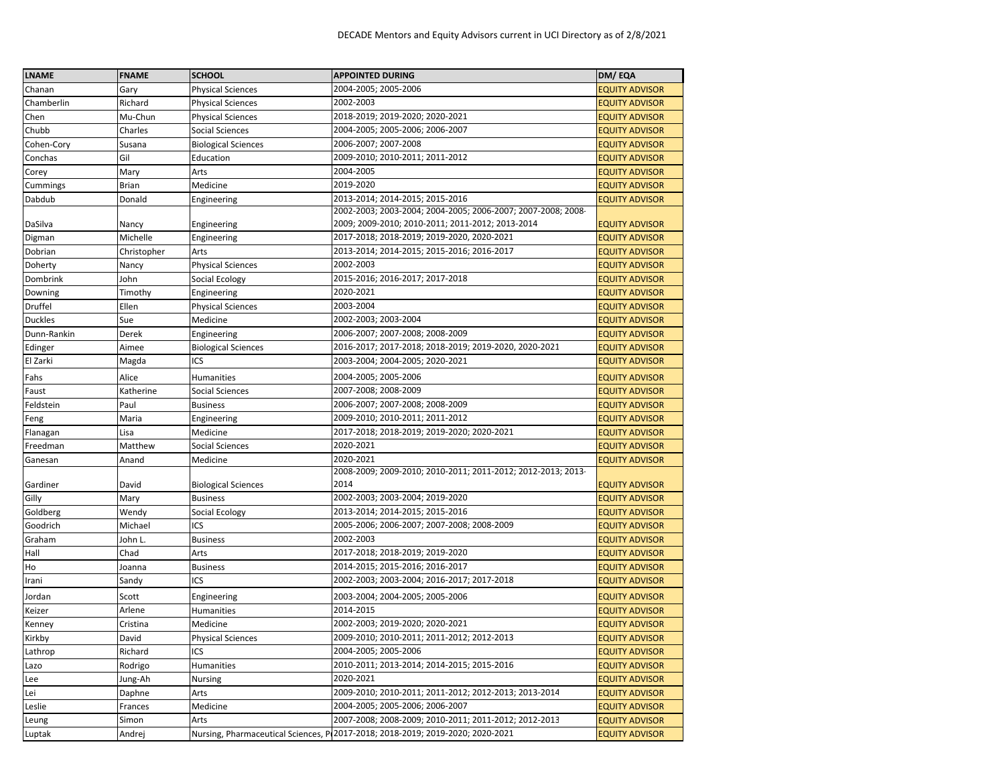| <b>LNAME</b>   | <b>FNAME</b> | <b>SCHOOL</b>              | <b>APPOINTED DURING</b>                                                        | DM/EQA                |
|----------------|--------------|----------------------------|--------------------------------------------------------------------------------|-----------------------|
| Chanan         | Gary         | <b>Physical Sciences</b>   | 2004-2005; 2005-2006                                                           | <b>EQUITY ADVISOR</b> |
| Chamberlin     | Richard      | <b>Physical Sciences</b>   | 2002-2003                                                                      | <b>EQUITY ADVISOR</b> |
| Chen           | Mu-Chun      | <b>Physical Sciences</b>   | 2018-2019; 2019-2020; 2020-2021                                                | <b>EQUITY ADVISOR</b> |
| Chubb          | Charles      | <b>Social Sciences</b>     | 2004-2005; 2005-2006; 2006-2007                                                | EQUITY ADVISOR        |
| Cohen-Cory     | Susana       | <b>Biological Sciences</b> | 2006-2007; 2007-2008                                                           | <b>EQUITY ADVISOR</b> |
| Conchas        | Gil          | Education                  | 2009-2010; 2010-2011; 2011-2012                                                | <b>EQUITY ADVISOR</b> |
| Corey          | Mary         | Arts                       | 2004-2005                                                                      | <b>EQUITY ADVISOR</b> |
| Cummings       | Brian        | Medicine                   | 2019-2020                                                                      | <b>EQUITY ADVISOR</b> |
| Dabdub         | Donald       | Engineering                | 2013-2014; 2014-2015; 2015-2016                                                | <b>EQUITY ADVISOR</b> |
|                |              |                            | 2002-2003; 2003-2004; 2004-2005; 2006-2007; 2007-2008; 2008-                   |                       |
| DaSilva        | Nancy        | Engineering                | 2009; 2009-2010; 2010-2011; 2011-2012; 2013-2014                               | <b>EQUITY ADVISOR</b> |
| Digman         | Michelle     | Engineering                | 2017-2018; 2018-2019; 2019-2020, 2020-2021                                     | <b>EQUITY ADVISOR</b> |
| Dobrian        | Christopher  | Arts                       | 2013-2014; 2014-2015; 2015-2016; 2016-2017                                     | EQUITY ADVISOR        |
| Doherty        | Nancy        | <b>Physical Sciences</b>   | 2002-2003                                                                      | <b>EQUITY ADVISOR</b> |
| Dombrink       | John         | Social Ecology             | 2015-2016; 2016-2017; 2017-2018                                                | <b>EQUITY ADVISOR</b> |
| Downing        | Timothy      | Engineering                | 2020-2021                                                                      | <b>EQUITY ADVISOR</b> |
| Druffel        | Ellen        | <b>Physical Sciences</b>   | 2003-2004                                                                      | EQUITY ADVISOR        |
| <b>Duckles</b> | Sue          | Medicine                   | 2002-2003; 2003-2004                                                           | <b>EQUITY ADVISOR</b> |
| Dunn-Rankin    | Derek        | Engineering                | 2006-2007; 2007-2008; 2008-2009                                                | <b>EQUITY ADVISOR</b> |
| Edinger        | Aimee        | <b>Biological Sciences</b> | 2016-2017; 2017-2018; 2018-2019; 2019-2020, 2020-2021                          | <b>EQUITY ADVISOR</b> |
| El Zarki       | Magda        | ICS                        | 2003-2004; 2004-2005; 2020-2021                                                | <b>EQUITY ADVISOR</b> |
| Fahs           | Alice        | <b>Humanities</b>          | 2004-2005; 2005-2006                                                           | <b>EQUITY ADVISOR</b> |
| Faust          | Katherine    | Social Sciences            | 2007-2008; 2008-2009                                                           | <b>EQUITY ADVISOR</b> |
| Feldstein      | Paul         | <b>Business</b>            | 2006-2007; 2007-2008; 2008-2009                                                | <b>EQUITY ADVISOR</b> |
| Feng           | Maria        | Engineering                | 2009-2010; 2010-2011; 2011-2012                                                | <b>EQUITY ADVISOR</b> |
| Flanagan       | Lisa         | Medicine                   | 2017-2018; 2018-2019; 2019-2020; 2020-2021                                     | <b>EQUITY ADVISOR</b> |
| Freedman       | Matthew      | <b>Social Sciences</b>     | 2020-2021                                                                      | <b>EQUITY ADVISOR</b> |
| Ganesan        | Anand        | Medicine                   | 2020-2021                                                                      | <b>EQUITY ADVISOR</b> |
| Gardiner       | David        | <b>Biological Sciences</b> | 2008-2009; 2009-2010; 2010-2011; 2011-2012; 2012-2013; 2013-<br>2014           | <b>EQUITY ADVISOR</b> |
| Gilly          | Mary         | <b>Business</b>            | 2002-2003; 2003-2004; 2019-2020                                                | <b>EQUITY ADVISOR</b> |
| Goldberg       | Wendy        | Social Ecology             | 2013-2014; 2014-2015; 2015-2016                                                | <b>EQUITY ADVISOR</b> |
| Goodrich       | Michael      | ICS                        | 2005-2006; 2006-2007; 2007-2008; 2008-2009                                     | EQUITY ADVISOR        |
| Graham         | John L.      | <b>Business</b>            | 2002-2003                                                                      | <b>EQUITY ADVISOR</b> |
| Hall           | Chad         | Arts                       | 2017-2018; 2018-2019; 2019-2020                                                | <b>EQUITY ADVISOR</b> |
| Ho             | Joanna       | <b>Business</b>            | 2014-2015; 2015-2016; 2016-2017                                                | <b>EQUITY ADVISOR</b> |
| Irani          | Sandy        | ICS                        | 2002-2003; 2003-2004; 2016-2017; 2017-2018                                     | EQUITY ADVISOR        |
| Jordan         | Scott        | Engineering                | 2003-2004; 2004-2005; 2005-2006                                                | <b>EQUITY ADVISOR</b> |
| Keizer         | Arlene       | Humanities                 | 2014-2015                                                                      | EQUITY ADVISOR        |
| Kenney         | Cristina     | Medicine                   | 2002-2003; 2019-2020; 2020-2021                                                | <b>EQUITY ADVISOR</b> |
| Kirkby         | David        | <b>Physical Sciences</b>   | 2009-2010; 2010-2011; 2011-2012; 2012-2013                                     | <b>EQUITY ADVISOR</b> |
| Lathrop        | Richard      | ICS                        | 2004-2005; 2005-2006                                                           | <b>EQUITY ADVISOR</b> |
| Lazo           | Rodrigo      | Humanities                 | 2010-2011; 2013-2014; 2014-2015; 2015-2016                                     | <b>EQUITY ADVISOR</b> |
| Lee            | Jung-Ah      | Nursing                    | 2020-2021                                                                      | <b>EQUITY ADVISOR</b> |
| Lei            | Daphne       | Arts                       | 2009-2010; 2010-2011; 2011-2012; 2012-2013; 2013-2014                          | <b>EQUITY ADVISOR</b> |
| Leslie         | Frances      | Medicine                   | 2004-2005; 2005-2006; 2006-2007                                                | <b>EQUITY ADVISOR</b> |
| Leung          | Simon        | Arts                       | 2007-2008; 2008-2009; 2010-2011; 2011-2012; 2012-2013                          | <b>EQUITY ADVISOR</b> |
| Luptak         | Andrej       |                            | Nursing, Pharmaceutical Sciences, P 2017-2018; 2018-2019; 2019-2020; 2020-2021 | <b>EQUITY ADVISOR</b> |